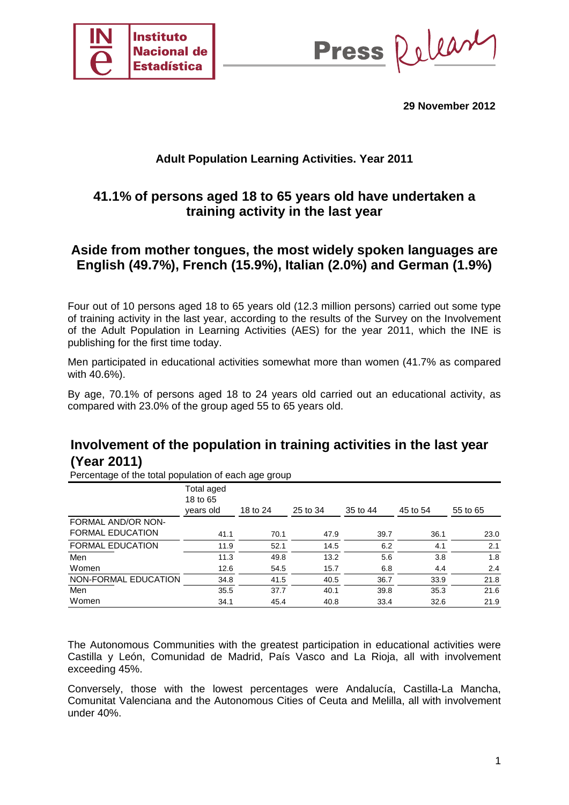

Release **Press** 

**29 November 2012** 

## **Adult Population Learning Activities. Year 2011**

# **41.1% of persons aged 18 to 65 years old have undertaken a training activity in the last year**

## **Aside from mother tongues, the most widely spoken languages are English (49.7%), French (15.9%), Italian (2.0%) and German (1.9%)**

Four out of 10 persons aged 18 to 65 years old (12.3 million persons) carried out some type of training activity in the last year, according to the results of the Survey on the Involvement of the Adult Population in Learning Activities (AES) for the year 2011, which the INE is publishing for the first time today.

Men participated in educational activities somewhat more than women (41.7% as compared with 40.6%).

By age, 70.1% of persons aged 18 to 24 years old carried out an educational activity, as compared with 23.0% of the group aged 55 to 65 years old.

# **Involvement of the population in training activities in the last year (Year 2011)**

Percentage of the total population of each age group

|                         | Total aged<br>18 to 65<br>vears old | 18 to 24 | 25 to 34 | 35 to 44 | 45 to 54 | 55 to 65 |
|-------------------------|-------------------------------------|----------|----------|----------|----------|----------|
| FORMAL AND/OR NON-      |                                     |          |          |          |          |          |
| <b>FORMAL EDUCATION</b> | 41.1                                | 70.1     | 47.9     | 39.7     | 36.1     | 23.0     |
| <b>FORMAL EDUCATION</b> | 11.9                                | 52.1     | 14.5     | 6.2      | 4.1      | 2.1      |
| Men                     | 11.3                                | 49.8     | 13.2     | 5.6      | 3.8      | 1.8      |
| Women                   | 12.6                                | 54.5     | 15.7     | 6.8      | 4.4      | 2.4      |
| NON-FORMAL EDUCATION    | 34.8                                | 41.5     | 40.5     | 36.7     | 33.9     | 21.8     |
| Men                     | 35.5                                | 37.7     | 40.1     | 39.8     | 35.3     | 21.6     |
| Women                   | 34.1                                | 45.4     | 40.8     | 33.4     | 32.6     | 21.9     |

The Autonomous Communities with the greatest participation in educational activities were Castilla y León, Comunidad de Madrid, País Vasco and La Rioja, all with involvement exceeding 45%.

Conversely, those with the lowest percentages were Andalucía, Castilla-La Mancha, Comunitat Valenciana and the Autonomous Cities of Ceuta and Melilla, all with involvement under 40%.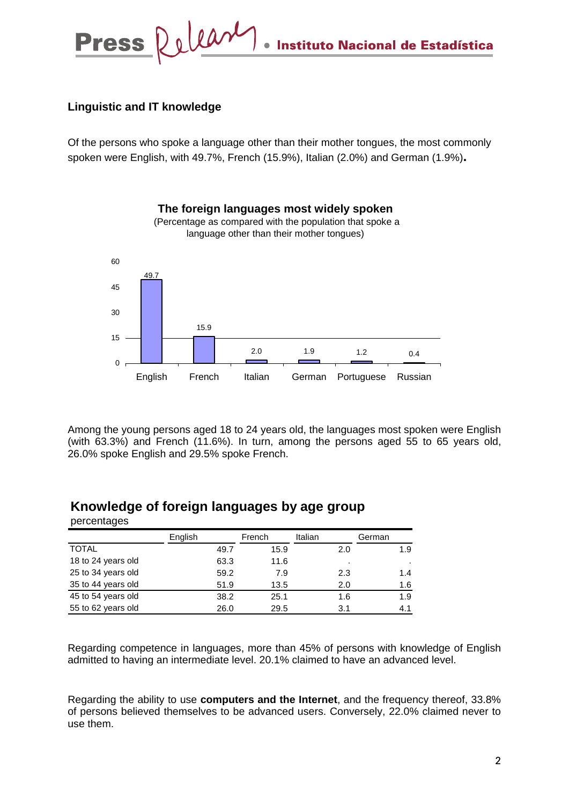Delear **Press** Instituto Nacional de Estadística

### **Linguistic and IT knowledge**

Of the persons who spoke a language other than their mother tongues, the most commonly spoken were English, with 49.7%, French (15.9%), Italian (2.0%) and German (1.9%)**.** 



Among the young persons aged 18 to 24 years old, the languages most spoken were English (with 63.3%) and French (11.6%). In turn, among the persons aged 55 to 65 years old, 26.0% spoke English and 29.5% spoke French.

|                    | English | French | Italian | German |  |  |
|--------------------|---------|--------|---------|--------|--|--|
| <b>TOTAL</b>       | 49.7    | 15.9   | 2.0     | 1.9    |  |  |
| 18 to 24 years old | 63.3    | 11.6   | ٠       | ٠      |  |  |
| 25 to 34 years old | 59.2    | 7.9    | 2.3     | 1.4    |  |  |
| 35 to 44 years old | 51.9    | 13.5   | 2.0     | 1.6    |  |  |
| 45 to 54 years old | 38.2    | 25.1   | 1.6     | 1.9    |  |  |
| 55 to 62 years old | 26.0    | 29.5   | 3.1     | 4.1    |  |  |

#### **Knowledge of foreign languages by age group**  percentages

Regarding competence in languages, more than 45% of persons with knowledge of English admitted to having an intermediate level. 20.1% claimed to have an advanced level.

Regarding the ability to use **computers and the Internet**, and the frequency thereof, 33.8% of persons believed themselves to be advanced users. Conversely, 22.0% claimed never to use them.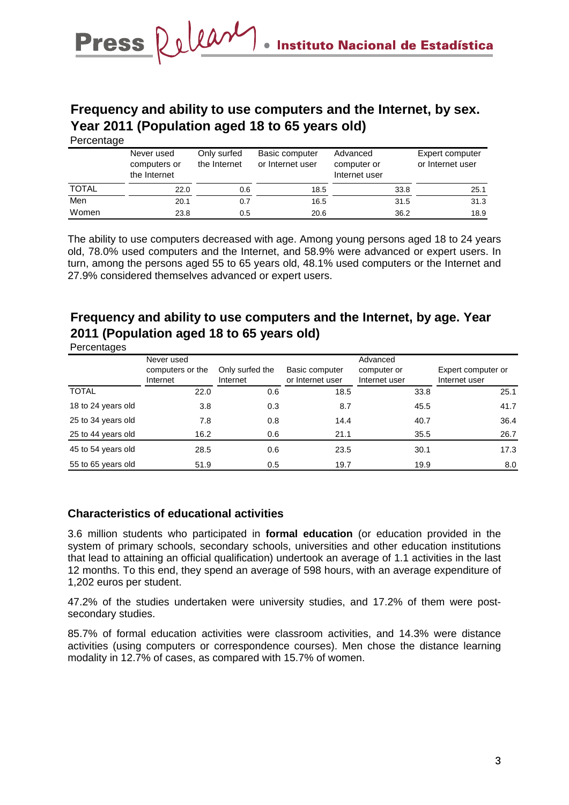# **Frequency and ability to use computers and the Internet, by sex. Year 2011 (Population aged 18 to 65 years old)**

|              | Never used<br>computers or<br>the Internet | Only surfed<br>the Internet | Basic computer<br>or Internet user | Advanced<br>computer or<br>Internet user | Expert computer<br>or Internet user |
|--------------|--------------------------------------------|-----------------------------|------------------------------------|------------------------------------------|-------------------------------------|
| <b>TOTAL</b> | 22.0                                       | 0.6                         | 18.5                               | 33.8                                     | 25.1                                |
| Men          | 20.1                                       | 0.7                         | 16.5                               | 31.5                                     | 31.3                                |
| Women        | 23.8                                       | 0.5                         | 20.6                               | 36.2                                     | 18.9                                |

The ability to use computers decreased with age. Among young persons aged 18 to 24 years old, 78.0% used computers and the Internet, and 58.9% were advanced or expert users. In turn, among the persons aged 55 to 65 years old, 48.1% used computers or the Internet and 27.9% considered themselves advanced or expert users.

# **Frequency and ability to use computers and the Internet, by age. Year 2011 (Population aged 18 to 65 years old)**

|                    | Never used<br>computers or the<br>Internet | Only surfed the<br>Internet | Basic computer<br>or Internet user | Advanced<br>computer or<br>Internet user | Expert computer or<br>Internet user |
|--------------------|--------------------------------------------|-----------------------------|------------------------------------|------------------------------------------|-------------------------------------|
| <b>TOTAL</b>       | 22.0                                       | 0.6                         | 18.5                               | 33.8                                     | 25.1                                |
| 18 to 24 years old | 3.8                                        | 0.3                         | 8.7                                | 45.5                                     | 41.7                                |
| 25 to 34 years old | 7.8                                        | 0.8                         | 14.4                               | 40.7                                     | 36.4                                |
| 25 to 44 years old | 16.2                                       | 0.6                         | 21.1                               | 35.5                                     | 26.7                                |
| 45 to 54 years old | 28.5                                       | 0.6                         | 23.5                               | 30.1                                     | 17.3                                |
| 55 to 65 years old | 51.9                                       | 0.5                         | 19.7                               | 19.9                                     | 8.0                                 |

### **Characteristics of educational activities**

3.6 million students who participated in **formal education** (or education provided in the system of primary schools, secondary schools, universities and other education institutions that lead to attaining an official qualification) undertook an average of 1.1 activities in the last 12 months. To this end, they spend an average of 598 hours, with an average expenditure of 1,202 euros per student.

47.2% of the studies undertaken were university studies, and 17.2% of them were postsecondary studies.

85.7% of formal education activities were classroom activities, and 14.3% were distance activities (using computers or correspondence courses). Men chose the distance learning modality in 12.7% of cases, as compared with 15.7% of women.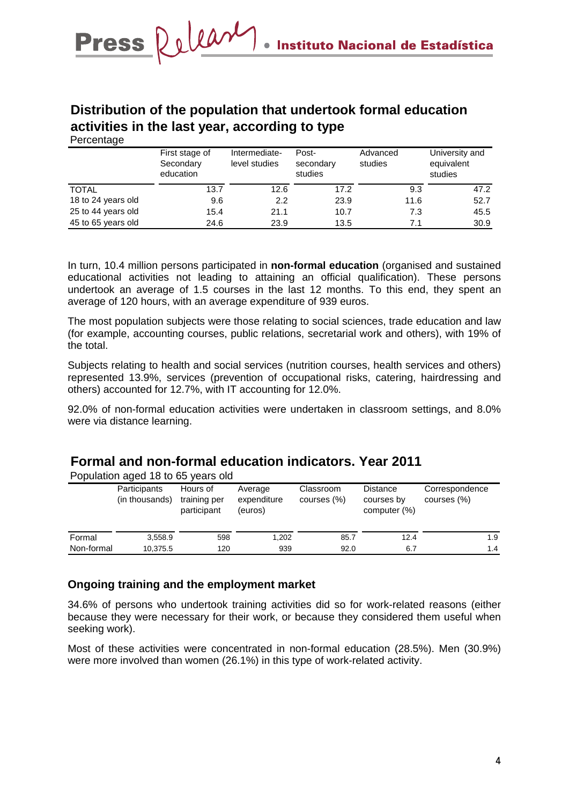## **Distribution of the population that undertook formal education activities in the last year, according to type**  Percentage

| ັ                  | First stage of<br>Secondary<br>education | Intermediate-<br>level studies | Post-<br>secondary<br>studies | Advanced<br>studies | University and<br>equivalent<br>studies |
|--------------------|------------------------------------------|--------------------------------|-------------------------------|---------------------|-----------------------------------------|
| <b>TOTAL</b>       | 13.7                                     | 12.6                           | 17.2                          | 9.3                 | 47.2                                    |
| 18 to 24 years old | 9.6                                      | 2.2                            | 23.9                          | 11.6                | 52.7                                    |
| 25 to 44 years old | 15.4                                     | 21.1                           | 10.7                          | 7.3                 | 45.5                                    |
| 45 to 65 years old | 24.6                                     | 23.9                           | 13.5                          | 7.1                 | 30.9                                    |

In turn, 10.4 million persons participated in **non-formal education** (organised and sustained educational activities not leading to attaining an official qualification). These persons undertook an average of 1.5 courses in the last 12 months. To this end, they spent an average of 120 hours, with an average expenditure of 939 euros.

The most population subjects were those relating to social sciences, trade education and law (for example, accounting courses, public relations, secretarial work and others), with 19% of the total.

Subjects relating to health and social services (nutrition courses, health services and others) represented 13.9%, services (prevention of occupational risks, catering, hairdressing and others) accounted for 12.7%, with IT accounting for 12.0%.

92.0% of non-formal education activities were undertaken in classroom settings, and 8.0% were via distance learning.

# **Formal and non-formal education indicators. Year 2011**

Population aged 18 to 65 years old

|            | Participants<br>(in thousands) | Hours of<br>training per<br>participant | Average<br>expenditure<br>(euros) | Classroom<br>courses (%) | <b>Distance</b><br>courses by<br>computer (%) | Correspondence<br>courses (%) |
|------------|--------------------------------|-----------------------------------------|-----------------------------------|--------------------------|-----------------------------------------------|-------------------------------|
| Formal     | 3,558.9                        | 598                                     | 1.202                             | 85.7                     | 12.4                                          | 1.9                           |
| Non-formal | 10,375.5                       | 120                                     | 939                               | 92.0                     | 6.7                                           | 1.4                           |

### **Ongoing training and the employment market**

34.6% of persons who undertook training activities did so for work-related reasons (either because they were necessary for their work, or because they considered them useful when seeking work).

Most of these activities were concentrated in non-formal education (28.5%). Men (30.9%) were more involved than women (26.1%) in this type of work-related activity.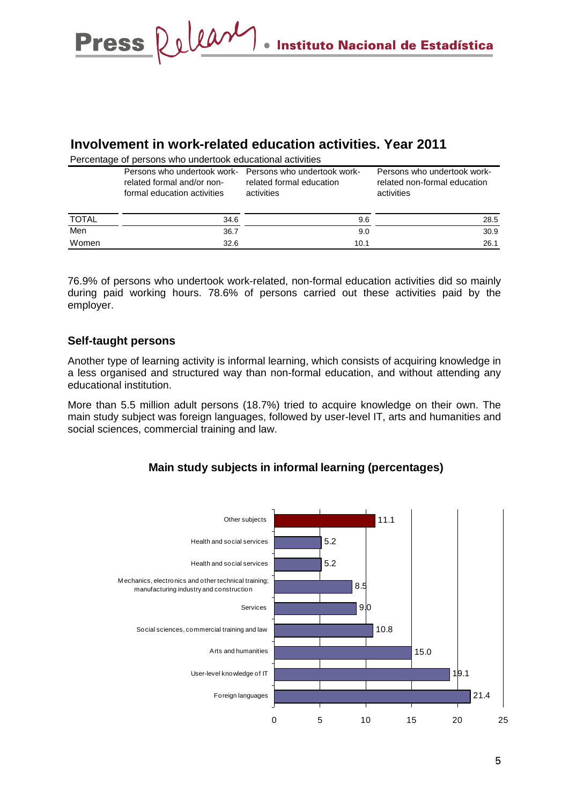## Release **Press** Instituto Nacional de Estadística

## **Involvement in work-related education activities. Year 2011**

Percentage of persons who undertook educational activities

|              | related formal and/or non-<br>formal education activities | Persons who undertook work- Persons who undertook work-<br>related formal education<br>activities | Persons who undertook work-<br>related non-formal education<br>activities |
|--------------|-----------------------------------------------------------|---------------------------------------------------------------------------------------------------|---------------------------------------------------------------------------|
| <b>TOTAL</b> | 34.6                                                      | 9.6                                                                                               | 28.5                                                                      |
| Men          | 36.7                                                      | 9.0                                                                                               | 30.9                                                                      |
| Women        | 32.6                                                      | 10.1                                                                                              | 26.1                                                                      |

76.9% of persons who undertook work-related, non-formal education activities did so mainly during paid working hours. 78.6% of persons carried out these activities paid by the employer.

#### **Self-taught persons**

Another type of learning activity is informal learning, which consists of acquiring knowledge in a less organised and structured way than non-formal education, and without attending any educational institution.

More than 5.5 million adult persons (18.7%) tried to acquire knowledge on their own. The main study subject was foreign languages, followed by user-level IT, arts and humanities and social sciences, commercial training and law.

## **Main study subjects in informal learning (percentages)**

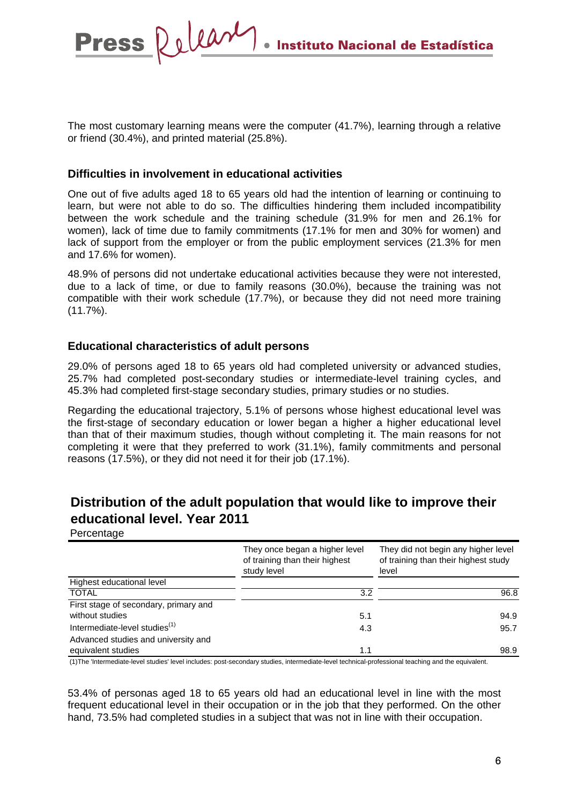The most customary learning means were the computer (41.7%), learning through a relative or friend (30.4%), and printed material (25.8%).

### **Difficulties in involvement in educational activities**

One out of five adults aged 18 to 65 years old had the intention of learning or continuing to learn, but were not able to do so. The difficulties hindering them included incompatibility between the work schedule and the training schedule (31.9% for men and 26.1% for women), lack of time due to family commitments (17.1% for men and 30% for women) and lack of support from the employer or from the public employment services (21.3% for men and 17.6% for women).

48.9% of persons did not undertake educational activities because they were not interested, due to a lack of time, or due to family reasons (30.0%), because the training was not compatible with their work schedule (17.7%), or because they did not need more training (11.7%).

#### **Educational characteristics of adult persons**

29.0% of persons aged 18 to 65 years old had completed university or advanced studies, 25.7% had completed post-secondary studies or intermediate-level training cycles, and 45.3% had completed first-stage secondary studies, primary studies or no studies.

Regarding the educational trajectory, 5.1% of persons whose highest educational level was the first-stage of secondary education or lower began a higher a higher educational level than that of their maximum studies, though without completing it. The main reasons for not completing it were that they preferred to work (31.1%), family commitments and personal reasons (17.5%), or they did not need it for their job (17.1%).

# **Distribution of the adult population that would like to improve their educational level. Year 2011**

**Percentage** 

**Press** 

|                                           | They once began a higher level<br>of training than their highest<br>study level | They did not begin any higher level<br>of training than their highest study<br>level |  |
|-------------------------------------------|---------------------------------------------------------------------------------|--------------------------------------------------------------------------------------|--|
| Highest educational level                 |                                                                                 |                                                                                      |  |
| <b>TOTAL</b>                              | 3.2                                                                             | 96.8                                                                                 |  |
| First stage of secondary, primary and     |                                                                                 |                                                                                      |  |
| without studies                           | 5.1                                                                             | 94.9                                                                                 |  |
| Intermediate-level studies <sup>(1)</sup> | 4.3                                                                             | 95.7                                                                                 |  |
| Advanced studies and university and       |                                                                                 |                                                                                      |  |
| equivalent studies                        | 1.1                                                                             | 98.9                                                                                 |  |

(1)The 'Intermediate-level studies' level includes: post-secondary studies, intermediate-level technical-professional teaching and the equivalent.

53.4% of personas aged 18 to 65 years old had an educational level in line with the most frequent educational level in their occupation or in the job that they performed. On the other hand, 73.5% had completed studies in a subject that was not in line with their occupation.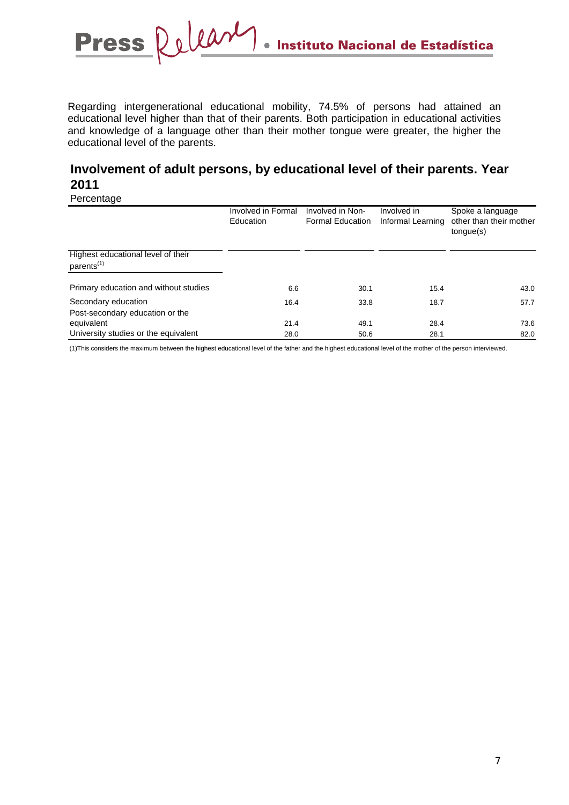Regarding intergenerational educational mobility, 74.5% of persons had attained an educational level higher than that of their parents. Both participation in educational activities and knowledge of a language other than their mother tongue were greater, the higher the educational level of the parents.

# **Involvement of adult persons, by educational level of their parents. Year 2011**

Percentage

|                                                              | Involved in Formal<br>Education | Involved in Non-<br><b>Formal Education</b> | Involved in<br>Informal Learning | Spoke a language<br>other than their mother<br>tongue(s) |
|--------------------------------------------------------------|---------------------------------|---------------------------------------------|----------------------------------|----------------------------------------------------------|
| Highest educational level of their<br>parents <sup>(1)</sup> |                                 |                                             |                                  |                                                          |
| Primary education and without studies                        | 6.6                             | 30.1                                        | 15.4                             | 43.0                                                     |
| Secondary education<br>Post-secondary education or the       | 16.4                            | 33.8                                        | 18.7                             | 57.7                                                     |
| equivalent                                                   | 21.4                            | 49.1                                        | 28.4                             | 73.6                                                     |
| University studies or the equivalent                         | 28.0                            | 50.6                                        | 28.1                             | 82.0                                                     |

(1)This considers the maximum between the highest educational level of the father and the highest educational level of the mother of the person interviewed.